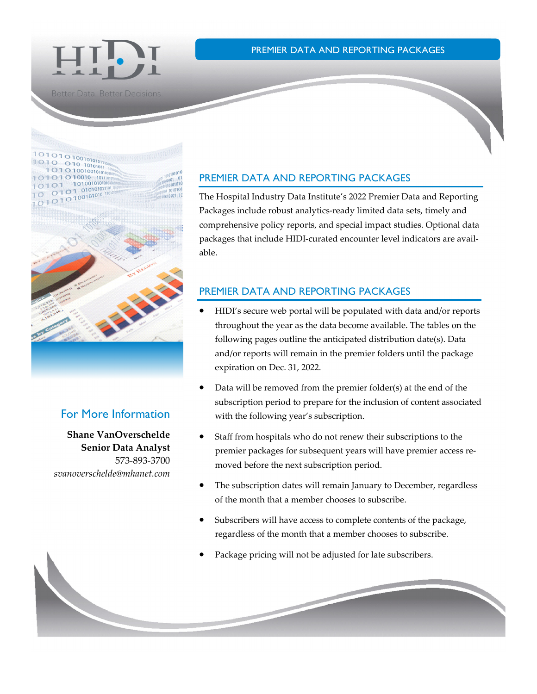



**Better Data. Better Decisions** 



### For More Information

**Shane VanOverschelde Senior Data Analyst**  573-893-3700 *svanoverschelde@mhanet.com* 

#### PREMIER DATA AND REPORTING PACKAGES

The Hospital Industry Data Institute's 2022 Premier Data and Reporting Packages include robust analytics-ready limited data sets, timely and comprehensive policy reports, and special impact studies. Optional data packages that include HIDI-curated encounter level indicators are available.

### PREMIER DATA AND REPORTING PACKAGES

- HIDI's secure web portal will be populated with data and/or reports throughout the year as the data become available. The tables on the following pages outline the anticipated distribution date(s). Data and/or reports will remain in the premier folders until the package expiration on Dec. 31, 2022.
- Data will be removed from the premier folder(s) at the end of the subscription period to prepare for the inclusion of content associated with the following year's subscription.
- Staff from hospitals who do not renew their subscriptions to the premier packages for subsequent years will have premier access removed before the next subscription period.
- The subscription dates will remain January to December, regardless of the month that a member chooses to subscribe.
- Subscribers will have access to complete contents of the package, regardless of the month that a member chooses to subscribe.
- Package pricing will not be adjusted for late subscribers.

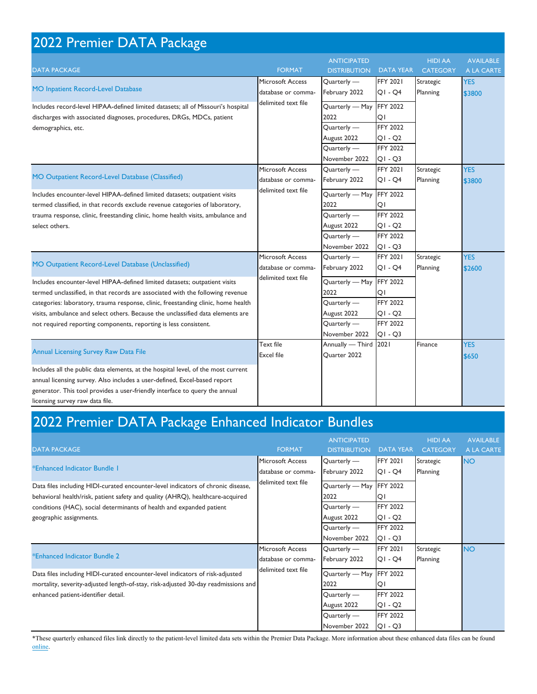| 2022 Premier DATA Package                                                                                                                                                                                                                                                                                                                                                                                |                                                               |                                                                                       |                                                                                       |                                   |                                |  |  |  |
|----------------------------------------------------------------------------------------------------------------------------------------------------------------------------------------------------------------------------------------------------------------------------------------------------------------------------------------------------------------------------------------------------------|---------------------------------------------------------------|---------------------------------------------------------------------------------------|---------------------------------------------------------------------------------------|-----------------------------------|--------------------------------|--|--|--|
| <b>DATA PACKAGE</b>                                                                                                                                                                                                                                                                                                                                                                                      | <b>FORMAT</b>                                                 | <b>ANTICIPATED</b><br><b>DISTRIBUTION</b>                                             | <b>DATA YEAR</b>                                                                      | <b>HIDI AA</b><br><b>CATEGORY</b> | <b>AVAILABLE</b><br>A LA CARTE |  |  |  |
| MO Inpatient Record-Level Database<br>Includes record-level HIPAA-defined limited datasets; all of Missouri's hospital<br>discharges with associated diagnoses, procedures, DRGs, MDCs, patient<br>demographics, etc.                                                                                                                                                                                    | Microsoft Access<br>database or comma-<br>delimited text file | Quarterly -<br>February 2022<br>Quarterly - May                                       | <b>FFY 2021</b><br>$QI - Q4$<br><b>FFY 2022</b>                                       | Strategic<br>Planning             | <b>YES</b><br>\$3800           |  |  |  |
|                                                                                                                                                                                                                                                                                                                                                                                                          |                                                               | 2022<br>Quarterly -<br>August 2022<br>Quarterly -<br>November 2022                    | QI<br><b>FFY 2022</b><br>QI - Q2<br><b>FFY 2022</b><br>$Q1 - Q3$                      |                                   |                                |  |  |  |
| MO Outpatient Record-Level Database (Classified)                                                                                                                                                                                                                                                                                                                                                         | Microsoft Access<br>database or comma-<br>delimited text file | Quarterly -<br>February 2022                                                          | <b>FFY 2021</b><br>$QI - Q4$                                                          | Strategic<br>Planning             | <b>YES</b><br>\$3800           |  |  |  |
| Includes encounter-level HIPAA-defined limited datasets; outpatient visits<br>termed classified, in that records exclude revenue categories of laboratory,<br>trauma response, clinic, freestanding clinic, home health visits, ambulance and<br>select others.                                                                                                                                          |                                                               | Quarterly - May<br>2022<br>Quarterly -<br>August 2022<br>Quarterly -<br>November 2022 | <b>FFY 2022</b><br>QI<br><b>FFY 2022</b><br>QI-Q2<br><b>FFY 2022</b><br>$QI - Q3$     |                                   |                                |  |  |  |
| MO Outpatient Record-Level Database (Unclassified)                                                                                                                                                                                                                                                                                                                                                       | Microsoft Access<br>database or comma-<br>delimited text file | Quarterly -<br>February 2022                                                          | <b>FFY 2021</b><br>QI-Q4                                                              | Strategic<br>Planning             | <b>YES</b><br>\$2600           |  |  |  |
| Includes encounter-level HIPAA-defined limited datasets; outpatient visits<br>termed unclassified, in that records are associated with the following revenue<br>categories: laboratory, trauma response, clinic, freestanding clinic, home health<br>visits, ambulance and select others. Because the unclassified data elements are<br>not required reporting components, reporting is less consistent. |                                                               | Quarterly - May<br>2022<br>Quarterly -<br>August 2022<br>Quarterly -<br>November 2022 | <b>FFY 2022</b><br>QI<br><b>FFY 2022</b><br>$QI - Q2$<br><b>FFY 2022</b><br>$Q1 - Q3$ |                                   |                                |  |  |  |
| <b>Annual Licensing Survey Raw Data File</b>                                                                                                                                                                                                                                                                                                                                                             | Text file<br><b>Excel file</b>                                | Annually - Third<br>Quarter 2022                                                      | 2021                                                                                  | Finance                           | <b>YES</b><br>\$650            |  |  |  |
| Includes all the public data elements, at the hospital level, of the most current<br>annual licensing survey. Also includes a user-defined, Excel-based report<br>generator. This tool provides a user-friendly interface to query the annual<br>licensing survey raw data file.                                                                                                                         |                                                               |                                                                                       |                                                                                       |                                   |                                |  |  |  |

## 2022 Premier DATA Package Enhanced Indicator Bundles

| <b>DATA PACKAGE</b>                                                                                                                                                 | <b>FORMAT</b>                                                 | <b>ANTICIPATED</b><br><b>DISTRIBUTION</b> | <b>DATA YEAR</b>             | <b>HIDI AA</b><br><b>CATEGORY</b> | <b>AVAILABLE</b><br>A LA CARTE |
|---------------------------------------------------------------------------------------------------------------------------------------------------------------------|---------------------------------------------------------------|-------------------------------------------|------------------------------|-----------------------------------|--------------------------------|
| *Enhanced Indicator Bundle 1                                                                                                                                        | <b>Microsoft Access</b><br>database or comma-                 | Quarterly -<br>February 2022              | <b>FFY 2021</b><br>$QI - Q4$ | <b>Strategic</b><br>Planning      | <b>NO</b>                      |
| Data files including HIDI-curated encounter-level indicators of chronic disease,<br>behavioral health/risk, patient safety and quality (AHRQ), healthcare-acquired  | delimited text file                                           | Quarterly - May<br>2022                   | <b>FFY 2022</b><br>QI        |                                   |                                |
| conditions (HAC), social determinants of health and expanded patient<br>geographic assignments.                                                                     |                                                               | $Quarterly -$<br>August 2022              | <b>FFY 2022</b><br>$QI - Q2$ |                                   |                                |
|                                                                                                                                                                     |                                                               | Quarterly -<br>November 2022              | <b>FFY 2022</b><br>$Q1 - Q3$ |                                   |                                |
| *Enhanced Indicator Bundle 2                                                                                                                                        | Microsoft Access<br>database or comma-<br>delimited text file | $Quarterly -$<br>February 2022            | <b>FFY 2021</b><br>$QI - Q4$ | Strategic<br>Planning             | <b>NO</b>                      |
| Data files including HIDI-curated encounter-level indicators of risk-adjusted<br>mortality, severity-adjusted length-of-stay, risk-adjusted 30-day readmissions and |                                                               | Quarterly - May<br>2022                   | <b>FFY 2022</b><br>QI        |                                   |                                |
| enhanced patient-identifier detail.                                                                                                                                 |                                                               | Quarterly -<br>August 2022                | <b>FFY 2022</b><br>$QI - Q2$ |                                   |                                |
|                                                                                                                                                                     |                                                               | Quarterly -<br>November 2022              | <b>FFY 2022</b><br>$Q1 - Q3$ |                                   |                                |

\*These quarterly enhanced files link directly to the patient-level limited data sets within the Premier Data Package. More information about these enhanced data files can be found [online.](https://www.mhanet.com/mhaimages/HIDI/Enriched_Data_Layouts_2022.pdf)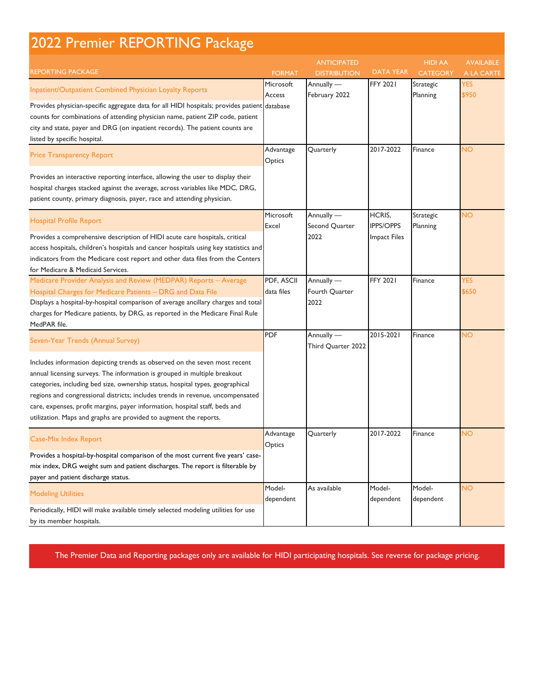# 2022 Premier REPORTING Package

| <b>REPORTING PACKAGE</b>                                                                                                                                                                                                                                                                                                                                                                                                                                                                                             | <b>FORMAT</b>            | <b>ANTICIPATED</b><br><b>DISTRIBUTION</b> | <b>DATA YEAR</b>                                  | <b>HIDI AA</b><br><b>CATEGORY</b> | <b>AVAILABLE</b><br>A LA CARTE |
|----------------------------------------------------------------------------------------------------------------------------------------------------------------------------------------------------------------------------------------------------------------------------------------------------------------------------------------------------------------------------------------------------------------------------------------------------------------------------------------------------------------------|--------------------------|-------------------------------------------|---------------------------------------------------|-----------------------------------|--------------------------------|
| Inpatient/Outpatient Combined Physician Loyalty Reports<br>Provides physician-specific aggregate data for all HIDI hospitals; provides patient database<br>counts for combinations of attending physician name, patient ZIP code, patient<br>city and state, payer and DRG (on inpatient records). The patient counts are<br>listed by specific hospital.                                                                                                                                                            | Microsoft<br>Access      | Annually -<br>February 2022               | <b>FFY 2021</b>                                   | Strategic<br>Planning             | <b>YES</b><br>\$950            |
| <b>Price Transparency Report</b>                                                                                                                                                                                                                                                                                                                                                                                                                                                                                     | Advantage<br>Optics      | Quarterly                                 | 2017-2022                                         | Finance                           | <b>NO</b>                      |
| Provides an interactive reporting interface, allowing the user to display their<br>hospital charges stacked against the average, across variables like MDC, DRG,<br>patient county, primary diagnosis, payer, race and attending physician.                                                                                                                                                                                                                                                                          |                          |                                           |                                                   |                                   |                                |
| <b>Hospital Profile Report</b><br>Provides a comprehensive description of HIDI acute care hospitals, critical<br>access hospitals, children's hospitals and cancer hospitals using key statistics and<br>indicators from the Medicare cost report and other data files from the Centers<br>for Medicare & Medicaid Services.                                                                                                                                                                                         | Microsoft<br>Excel       | Annually -<br>Second Quarter<br>2022      | HCRIS,<br><b>IPPS/OPPS</b><br><b>Impact Files</b> | Strategic<br>Planning             | <b>NO</b>                      |
| Medicare Provider Analysis and Review (MEDPAR) Reports - Average<br>Hospital Charges for Medicare Patients - DRG and Data File<br>Displays a hospital-by-hospital comparison of average ancillary charges and total<br>charges for Medicare patients, by DRG, as reported in the Medicare Final Rule<br>MedPAR file.                                                                                                                                                                                                 | PDF, ASCII<br>data files | Annually —<br>Fourth Quarter<br>2022      | <b>FFY 2021</b>                                   | Finance                           | <b>YES</b><br>\$650            |
| Seven-Year Trends (Annual Survey)<br>Includes information depicting trends as observed on the seven most recent<br>annual licensing surveys. The information is grouped in multiple breakout<br>categories, including bed size, ownership status, hospital types, geographical<br>regions and congressional districts; includes trends in revenue, uncompensated<br>care, expenses, profit margins, payer information, hospital staff, beds and<br>utilization. Maps and graphs are provided to augment the reports. | <b>PDF</b>               | Annually —<br>Third Quarter 2022          | 2015-2021                                         | Finance                           | <b>NO</b>                      |
| Case-Mix Index Report<br>Provides a hospital-by-hospital comparison of the most current five years' case-<br>mix index, DRG weight sum and patient discharges. The report is filterable by<br>payer and patient discharge status.                                                                                                                                                                                                                                                                                    | Advantage<br>Optics      | Quarterly                                 | 2017-2022                                         | Finance                           | NO                             |
| <b>Modeling Utilities</b><br>Periodically, HIDI will make available timely selected modeling utilities for use<br>by its member hospitals.                                                                                                                                                                                                                                                                                                                                                                           | Model-<br>dependent      | As available                              | Model-<br>dependent                               | Model-<br>dependent               | <b>NO</b>                      |

The Premier Data and Reporting packages only are available for HIDI participating hospitals. See reverse for package pricing.